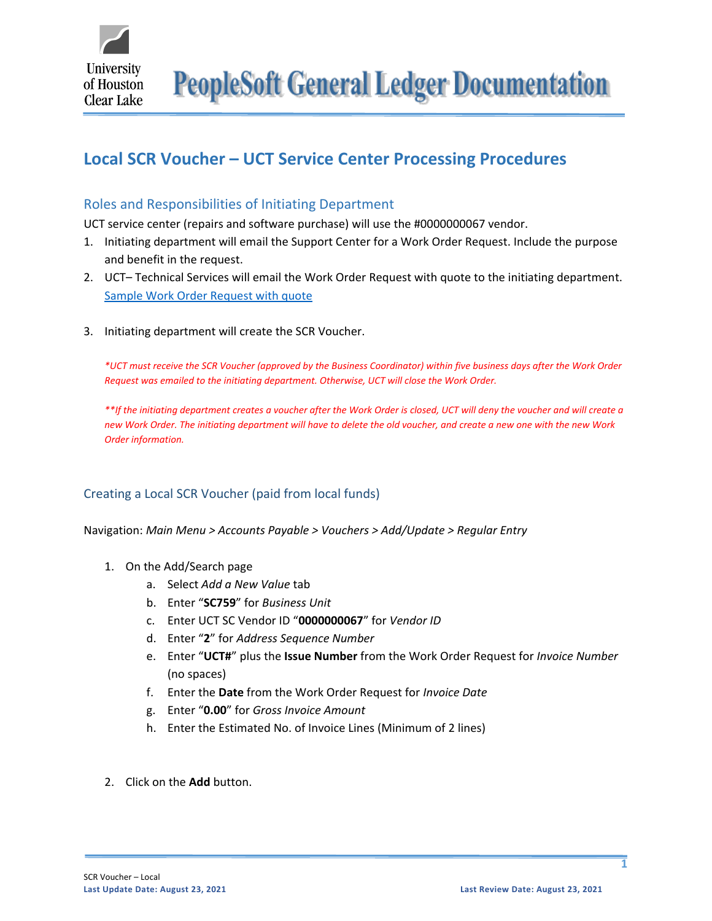

**PeopleSoft General Ledger Documentation** 

# **Local SCR Voucher – UCT Service Center Processing Procedures**

## Roles and Responsibilities of Initiating Department

UCT service center (repairs and software purchase) will use the #0000000067 vendor.

- 1. Initiating department will email the Support Center for a Work Order Request. Include the purpose and benefit in the request.
- 2. UCT– Technical Services will email the Work Order Request with quote to the initiating department. [Sample Work Order Request with quote](https://www.uhcl.edu/about/administrative-offices/finance/peoplesoft-finance/documents/scr-work-order-request-local.pdf)
- 3. Initiating department will create the SCR Voucher.

*\*UCT must receive the SCR Voucher (approved by the Business Coordinator) within five business days after the Work Order Request was emailed to the initiating department. Otherwise, UCT will close the Work Order.* 

*\*\*If the initiating department creates a voucher after the Work Order is closed, UCT will deny the voucher and will create a new Work Order. The initiating department will have to delete the old voucher, and create a new one with the new Work Order information.*

## Creating a Local SCR Voucher (paid from local funds)

Navigation: *Main Menu > Accounts Payable > Vouchers > Add/Update > Regular Entry*

- 1. On the Add/Search page
	- a. Select *Add a New Value* tab
	- b. Enter "**SC759**" for *Business Unit*
	- c. Enter UCT SC Vendor ID "**0000000067**" for *Vendor ID*
	- d. Enter "**2**" for *Address Sequence Number*
	- e. Enter "**UCT#**" plus the **Issue Number** from the Work Order Request for *Invoice Number* (no spaces)
	- f. Enter the **Date** from the Work Order Request for *Invoice Date*
	- g. Enter "**0.00**" for *Gross Invoice Amount*
	- h. Enter the Estimated No. of Invoice Lines (Minimum of 2 lines)
- 2. Click on the **Add** button.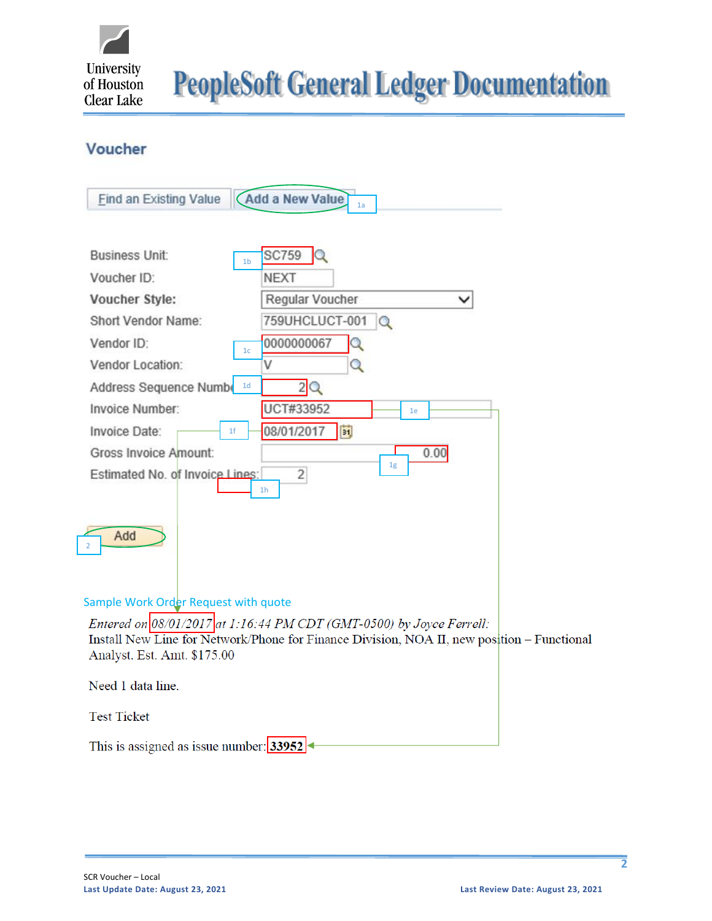

**PeopleSoft General Ledger Documentation** 

## Voucher

| <b>Add a New Value</b><br><b>Find an Existing Value</b><br>1a                                                                                                                                                                                                                                                                                                                                                                                                                                                                           |  |
|-----------------------------------------------------------------------------------------------------------------------------------------------------------------------------------------------------------------------------------------------------------------------------------------------------------------------------------------------------------------------------------------------------------------------------------------------------------------------------------------------------------------------------------------|--|
| <b>SC759</b><br><b>Business Unit:</b><br>1 <sub>b</sub><br>Voucher ID:<br><b>NEXT</b><br>Regular Voucher<br>Voucher Style:<br>$\check{ }$<br>759UHCLUCT-001<br>Short Vendor Name:<br>$\alpha$<br>0000000067<br>Vendor ID:<br>Q<br>1 <sub>c</sub><br>Vendor Location:<br>Q<br>2Q<br>1 <sub>d</sub><br>Address Sequence Numbe<br>UCT#33952<br>Invoice Number:<br>1e<br>08/01/2017<br> H <br>Invoice Date:<br>1 <sup>f</sup><br>Gross Invoice Amount:<br>0.00<br>1g<br>$\overline{c}$<br>Estimated No. of Invoice Lines:<br>1 <sub>h</sub> |  |
| Add                                                                                                                                                                                                                                                                                                                                                                                                                                                                                                                                     |  |
| Sample Work Order Request with quote<br>Entered on $08/01/2017$ at 1:16:44 PM CDT (GMT-0500) by Joyce Ferrell:<br>Install New Line for Network/Phone for Finance Division, NOA II, new position – Functional<br>Analyst. Est. Amt. \$175.00                                                                                                                                                                                                                                                                                             |  |
| Need 1 data line.                                                                                                                                                                                                                                                                                                                                                                                                                                                                                                                       |  |

This is assigned as issue number:  $33952$ 

**Test Ticket**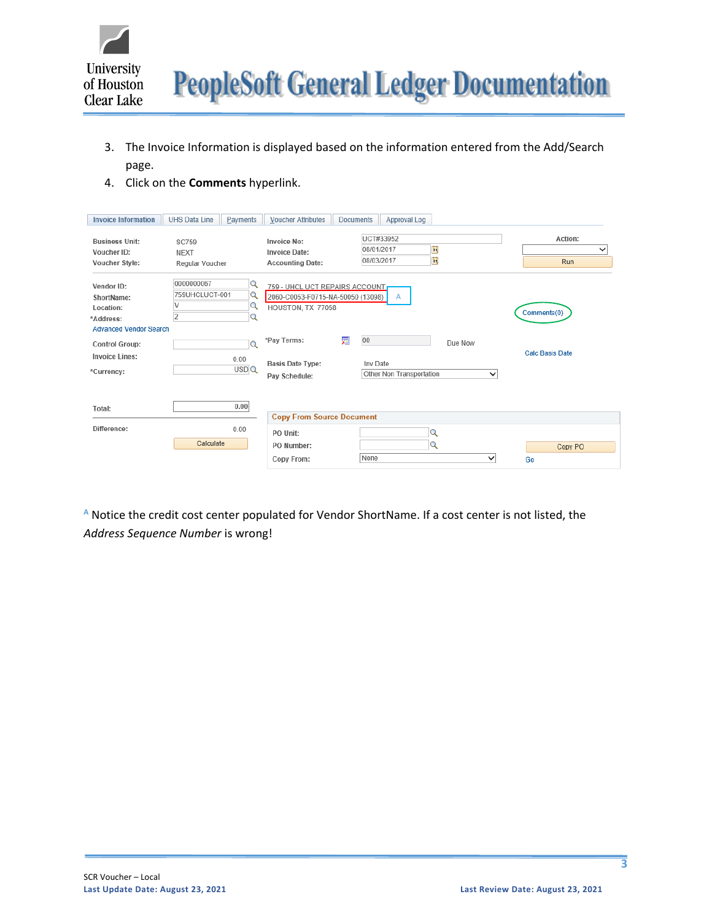

- 3. The Invoice Information is displayed based on the information entered from the Add/Search page.
- 4. Click on the **Comments** hyperlink.

| <b>Invoice Information</b>                                                          | <b>UHS Data Line</b>                           | Payments                | <b>Voucher Attributes</b>                                                                | <b>Documents</b> | Approval Log                                     |         |             |                        |
|-------------------------------------------------------------------------------------|------------------------------------------------|-------------------------|------------------------------------------------------------------------------------------|------------------|--------------------------------------------------|---------|-------------|------------------------|
| <b>Business Unit:</b><br>Voucher ID:<br>Voucher Style:                              | <b>SC759</b><br><b>NEXT</b><br>Regular Voucher |                         | <b>Invoice No:</b><br><b>Invoice Date:</b><br><b>Accounting Date:</b>                    |                  | UCT#33952<br>FJ<br>08/01/2017<br>E<br>08/03/2017 |         |             | Action:<br>✓<br>Run    |
| Vendor ID:<br>ShortName:<br>Location:<br>*Address:<br><b>Advanced Vendor Search</b> | 0000000067<br>759UHCLUCT-001<br>2              | Q<br>Q<br>Q<br>Q        | 759 - UHCL UCT REPAIRS ACCOUNT<br>2060-C0053-F0715-NA-50050 (13098)<br>HOUSTON, TX 77058 |                  | A                                                |         |             | Comments(0)            |
| <b>Control Group:</b><br><b>Invoice Lines:</b><br>*Currency:                        |                                                | $\circ$<br>0.00<br>USDQ | *Pay Terms:<br><b>Basis Date Type:</b><br>Pav Schedule:                                  | 贖<br>00          | Inv Date<br>Other Non Transportation             | Due Now | $\check{ }$ | <b>Calc Basis Date</b> |
| Total:                                                                              |                                                | 0.00                    | <b>Copy From Source Document</b>                                                         |                  |                                                  |         |             |                        |
| Difference:                                                                         | Calculate                                      | 0.00                    | PO Unit:<br>PO Number:<br>Copy From:                                                     | None             | $\mathbf Q$<br>Q                                 |         | $\check{ }$ | Copy PO<br>Go          |

**<sup>A</sup>** Notice the credit cost center populated for Vendor ShortName. If a cost center is not listed, the *Address Sequence Number* is wrong!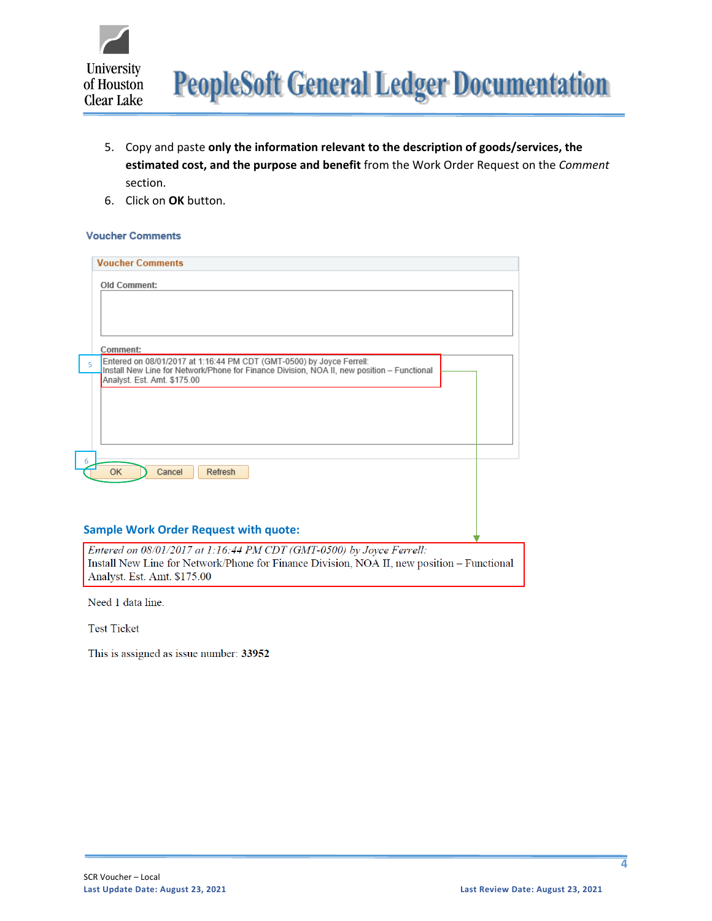

- 5. Copy and paste **only the information relevant to the description of goods/services, the estimated cost, and the purpose and benefit** from the Work Order Request on the *Comment* section.
- 6. Click on **OK** button.

#### **Voucher Comments**

| <b>Voucher Comments</b>                                                                                                                                                                        |  |
|------------------------------------------------------------------------------------------------------------------------------------------------------------------------------------------------|--|
| <b>Old Comment:</b>                                                                                                                                                                            |  |
|                                                                                                                                                                                                |  |
|                                                                                                                                                                                                |  |
| Comment:                                                                                                                                                                                       |  |
| Entered on 08/01/2017 at 1:16:44 PM CDT (GMT-0500) by Joyce Ferrell:<br>$\overline{\phantom{0}}$<br>Install New Line for Network/Phone for Finance Division, NOA II, new position - Functional |  |
| Analyst. Est. Amt. \$175.00                                                                                                                                                                    |  |
|                                                                                                                                                                                                |  |
|                                                                                                                                                                                                |  |
|                                                                                                                                                                                                |  |
|                                                                                                                                                                                                |  |
| 6<br><b>OK</b><br>Cancel<br>Refresh                                                                                                                                                            |  |
|                                                                                                                                                                                                |  |
|                                                                                                                                                                                                |  |
|                                                                                                                                                                                                |  |
| <b>Sample Work Order Request with quote:</b>                                                                                                                                                   |  |

Entered on 08/01/2017 at 1:16:44 PM CDT (GMT-0500) by Joyce Ferrell: Install New Line for Network/Phone for Finance Division, NOA II, new position - Functional Analyst. Est. Amt. \$175.00

Need 1 data line.

**Test Ticket** 

This is assigned as issue number: 33952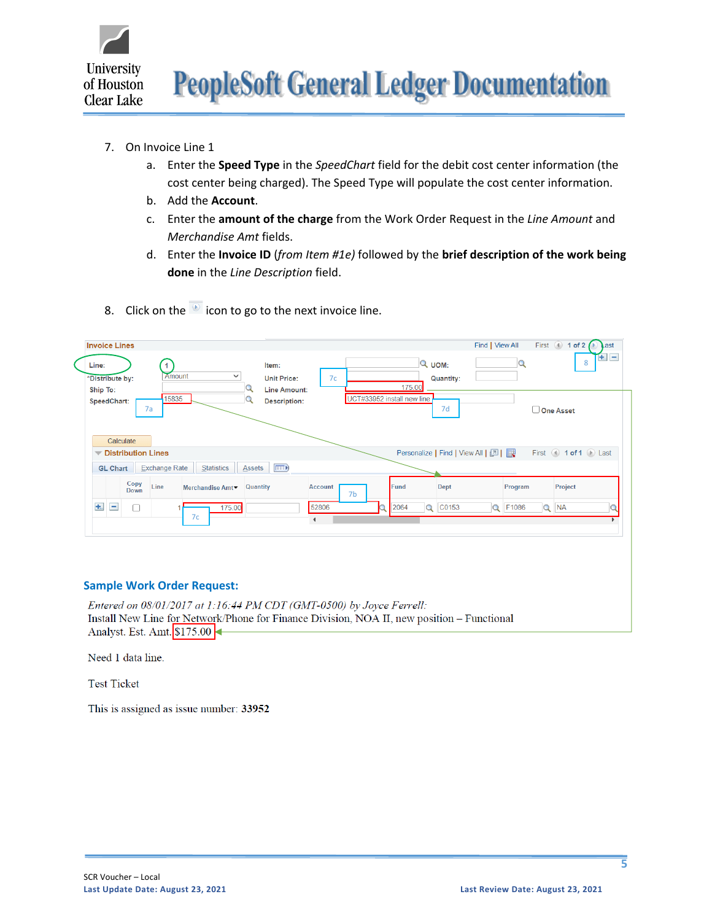

- 7. On Invoice Line 1
	- a. Enter the **Speed Type** in the *SpeedChart* field for the debit cost center information (the cost center being charged). The Speed Type will populate the cost center information.
	- b. Add the **Account**.
	- c. Enter the **amount of the charge** from the Work Order Request in the *Line Amount* and *Merchandise Amt* fields.
	- d. Enter the **Invoice ID** (*from Item #1e)* followed by the **brief description of the work being done** in the *Line Description* field.
- 8. Click on the  $\overline{\bullet}$  icon to go to the next invoice line.

|       | <b>Invoice Lines</b>        |                             |                      |                  |                                                    |                |                            |      |                  |                                   | Find   View All |         |          | First $\bigcirc$ 1 of 2 $\bigcirc$ | Last    |
|-------|-----------------------------|-----------------------------|----------------------|------------------|----------------------------------------------------|----------------|----------------------------|------|------------------|-----------------------------------|-----------------|---------|----------|------------------------------------|---------|
| Line: | *Distribute by:<br>Ship To: |                             | 1<br>Amount          |                  | Item:<br><b>Unit Price:</b><br><b>Line Amount:</b> | 7c             |                            |      | Q UOM:<br>175.00 | <b>Quantity:</b>                  |                 |         |          | 8                                  | $+$ $-$ |
|       | SpeedChart:                 |                             | 15835<br>7a          |                  | <b>Description:</b>                                |                | UCT#33952 install new line |      |                  | 7d                                |                 |         |          | One Asset                          |         |
|       |                             | Calculate                   |                      |                  |                                                    |                |                            |      |                  |                                   |                 |         |          |                                    |         |
|       |                             | <b>▼ Distribution Lines</b> |                      |                  |                                                    |                |                            |      |                  | Personalize   Find   View All   2 |                 |         |          | First 4 1 of 1 D Last              |         |
|       | <b>GL Chart</b>             |                             | <b>Exchange Rate</b> | Statistics       | <b>EED</b><br><b>Assets</b>                        |                |                            |      |                  |                                   |                 |         |          |                                    |         |
|       |                             | Copy<br>Down                | Line                 | Merchandise Amt▼ | Quantity                                           | <b>Account</b> | 7 <sub>b</sub>             | Fund |                  | <b>Dept</b>                       |                 | Program |          | Project                            |         |
| $+$   | $\equiv$                    | C                           |                      | 175.00<br>7c     |                                                    | 52806          |                            | 2064 | Q                | C0153                             |                 | Q F1086 | $\alpha$ | <b>NA</b>                          |         |

### **Sample Work Order Request:**

Entered on 08/01/2017 at 1:16:44 PM CDT (GMT-0500) by Joyce Ferrell: Install New Line for Network/Phone for Finance Division, NOA II, new position - Functional Analyst. Est. Amt. \$175.00

Need 1 data line.

**Test Ticket** 

This is assigned as issue number: 33952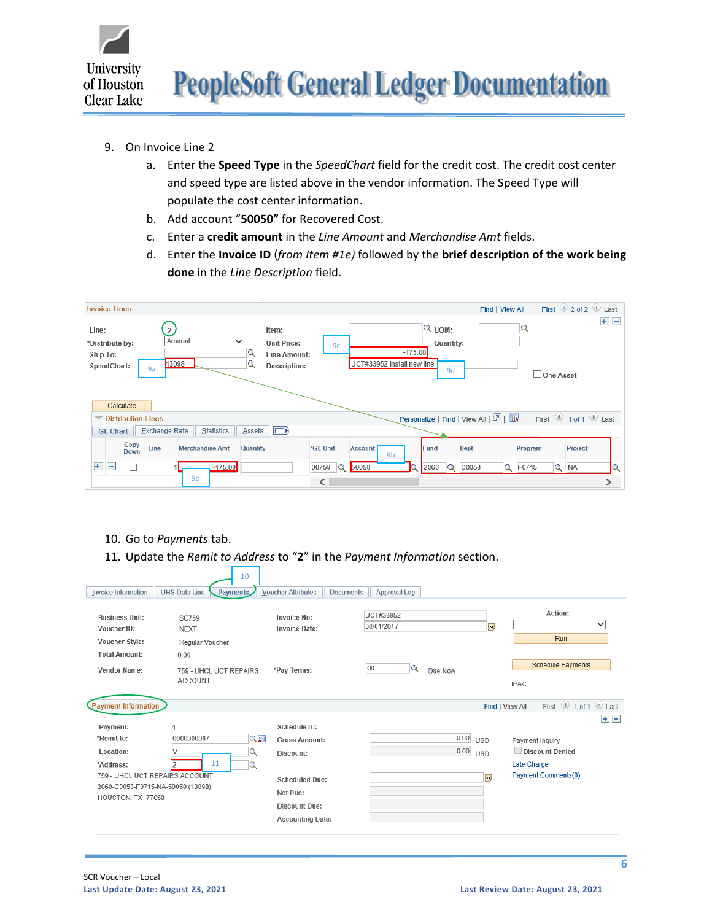

- 9. On Invoice Line 2
	- a. Enter the **Speed Type** in the *SpeedChart* field for the credit cost. The credit cost center and speed type are listed above in the vendor information. The Speed Type will populate the cost center information.
	- b. Add account "**50050"** for Recovered Cost.
	- c. Enter a **credit amount** in the *Line Amount* and *Merchandise Amt* fields.
	- d. Enter the **Invoice ID** (*from Item #1e)* followed by the **brief description of the work being done** in the *Line Description* field.

| <b>Invoice Lines</b>                                                                                               |                                                                                                              | First $\bigcirc$ 2 of 2 $\bigcirc$ Last<br>Find   View All                                           |
|--------------------------------------------------------------------------------------------------------------------|--------------------------------------------------------------------------------------------------------------|------------------------------------------------------------------------------------------------------|
| Line:<br>2<br>Amount<br>$\check{ }$<br>*Distribute by:<br>Ship To:<br>u<br>13098<br>SpeedChart:<br>9a<br>Calculate | Item:<br><b>Unit Price:</b><br>9c<br>$-175.00$<br>Line Amount:<br>UCT#33952 install new line<br>Description: | $+$ $-$<br>Q<br>$Q$ vom:<br>Quantity:<br>9d<br>One Asset                                             |
| <b>▼ Distribution Lines</b>                                                                                        |                                                                                                              | First $\bigcirc$ 1 of 1 $\bigcirc$ Last<br>Personalize   Find   View All   $\boxed{2}$   $\boxed{1}$ |
| Statistics<br><b>Exchange Rate</b><br><b>Assets</b><br><b>GL Chart</b>                                             | $\boxed{=}$                                                                                                  |                                                                                                      |
| Copy<br>Line<br><b>Merchandise Amt</b><br>Quantity<br>Down                                                         | *GL Unit<br><b>Account</b><br>9 <sub>b</sub>                                                                 | Fund<br>Dept<br>Project<br>Program                                                                   |
| $+$ .<br>$-175.00$<br>$=$                                                                                          | 50050<br>$\mathbf Q$<br>00759                                                                                | Q F0715<br>2060<br>C0053<br>$Q$ NA<br>Q                                                              |
| 9c                                                                                                                 | ∢                                                                                                            | ⋗                                                                                                    |

- 10. Go to *Payments* tab.
- 11. Update the *Remit to Address* to "**2**" in the *Payment Information* section.

| <b>Invoice Information</b>                                                                                                                                                 | 10<br><b>UHS Data Line</b><br><b>Payments</b>                                                      | <b>Voucher Attributes</b><br><b>Documents</b>                                                                                             | Approval Log                                  |                                                                                                                                                                               |
|----------------------------------------------------------------------------------------------------------------------------------------------------------------------------|----------------------------------------------------------------------------------------------------|-------------------------------------------------------------------------------------------------------------------------------------------|-----------------------------------------------|-------------------------------------------------------------------------------------------------------------------------------------------------------------------------------|
| <b>Business Unit:</b><br>Voucher ID:<br>Voucher Style:<br><b>Total Amount:</b><br><b>Vendor Name:</b>                                                                      | <b>SC759</b><br><b>NEXT</b><br>Regular Voucher<br>0.00<br>759 - UHCL UCT REPAIRS<br><b>ACCOUNT</b> | Invoice No:<br>Invoice Date:<br>*Pay Terms:                                                                                               | UCT#33952<br>08/01/2017<br>00<br>Q<br>Due Now | Action:<br>$\check{ }$<br>Þij<br>Run<br><b>Schedule Payments</b><br><b>IPAC</b>                                                                                               |
| <b>Payment Information</b><br>Payment:<br>*Remit to:<br>Location:<br>*Address:<br>759 - UHCL UCT REPAIRS ACCOUNT<br>2060-C0053-F0715-NA-50050 (13098)<br>HOUSTON, TX 77058 | 0000000067<br>Q圓<br>V<br>Q<br>11<br>2<br>Q                                                         | Schedule ID:<br><b>Gross Amount:</b><br>Discount:<br><b>Scheduled Due:</b><br>Net Due:<br><b>Discount Due:</b><br><b>Accounting Date:</b> | 0.00<br>0.00                                  | First 1 of 1 D Last<br>Find   View All<br>$+$ $-$<br><b>USD</b><br>Payment Inquiry<br><b>Discount Denied</b><br><b>USD</b><br>Late Charge<br><b>Payment Comments(0)</b><br>BU |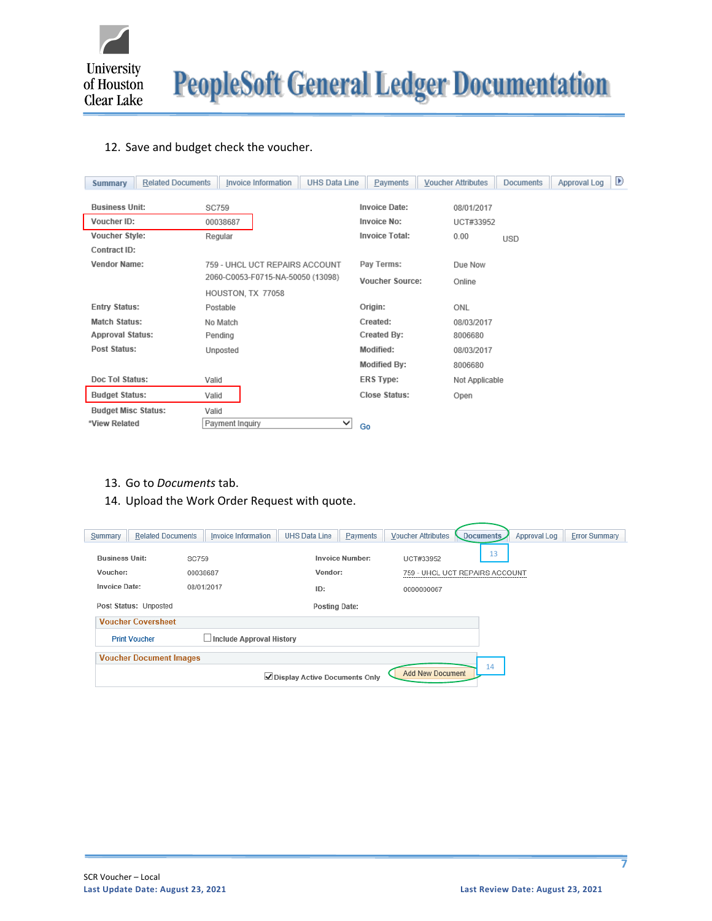

**PeopleSoft General Ledger Documentation** 

## 12. Save and budget check the voucher.

| <b>Related Documents</b><br><b>Summary</b> | <b>Invoice Information</b>        | <b>UHS Data Line</b><br>Payments | <b>Voucher Attributes</b> | <b>Documents</b> | $\blacktriangleright$<br>Approval Log |
|--------------------------------------------|-----------------------------------|----------------------------------|---------------------------|------------------|---------------------------------------|
| <b>Business Unit:</b>                      | <b>SC759</b>                      | <b>Invoice Date:</b>             | 08/01/2017                |                  |                                       |
| Voucher ID:                                | 00038687                          | <b>Invoice No:</b>               | UCT#33952                 |                  |                                       |
| Voucher Style:                             | Regular                           | <b>Invoice Total:</b>            | 0.00                      | <b>USD</b>       |                                       |
| Contract ID:                               |                                   |                                  |                           |                  |                                       |
| <b>Vendor Name:</b>                        | 759 - UHCL UCT REPAIRS ACCOUNT    | Pay Terms:                       | Due Now                   |                  |                                       |
|                                            | 2060-C0053-F0715-NA-50050 (13098) | <b>Voucher Source:</b>           | Online                    |                  |                                       |
|                                            | HOUSTON, TX 77058                 |                                  |                           |                  |                                       |
| <b>Entry Status:</b>                       | Postable                          | Origin:                          | ONL                       |                  |                                       |
| <b>Match Status:</b>                       | No Match                          | Created:                         | 08/03/2017                |                  |                                       |
| <b>Approval Status:</b>                    | Pending                           | Created By:                      | 8006680                   |                  |                                       |
| <b>Post Status:</b>                        | Unposted                          | Modified:                        | 08/03/2017                |                  |                                       |
|                                            |                                   | <b>Modified By:</b>              | 8006680                   |                  |                                       |
| Doc Tol Status:                            | Valid                             | <b>ERS Type:</b>                 | Not Applicable            |                  |                                       |
| <b>Budget Status:</b>                      | Valid                             | <b>Close Status:</b>             | Open                      |                  |                                       |
| <b>Budget Misc Status:</b>                 | Valid                             |                                  |                           |                  |                                       |
| *View Related                              | Payment Inquiry                   | ◡<br>Go                          |                           |                  |                                       |

- 13. Go to *Documents* tab.
- 14. Upload the Work Order Request with quote.

| Summary               | <b>Related Documents</b>       | Invoice Information             | <b>UHS Data Line</b>            | Payments               | <b>Voucher Attributes</b> | Documents | Approval Log | <b>Error Summary</b> |
|-----------------------|--------------------------------|---------------------------------|---------------------------------|------------------------|---------------------------|-----------|--------------|----------------------|
|                       |                                |                                 |                                 |                        |                           | 13        |              |                      |
| <b>Business Unit:</b> | <b>SC759</b>                   |                                 |                                 | <b>Invoice Number:</b> | UCT#33952                 |           |              |                      |
| Voucher:              | 00038687                       |                                 | Vendor:                         |                        | 759 - UHCL UCT REPAIRS AC |           |              |                      |
| <b>Invoice Date:</b>  |                                | 08/01/2017                      | ID:                             |                        | 0000000067                |           |              |                      |
|                       | Post Status: Unposted          |                                 | <b>Posting Date:</b>            |                        |                           |           |              |                      |
|                       | <b>Voucher Coversheet</b>      |                                 |                                 |                        |                           |           |              |                      |
|                       | <b>Print Voucher</b>           | $\Box$ Include Approval History |                                 |                        |                           |           |              |                      |
|                       | <b>Voucher Document Images</b> |                                 |                                 |                        |                           |           |              |                      |
|                       |                                |                                 | ✔ Display Active Documents Only |                        | Add New Document          | 14        |              |                      |